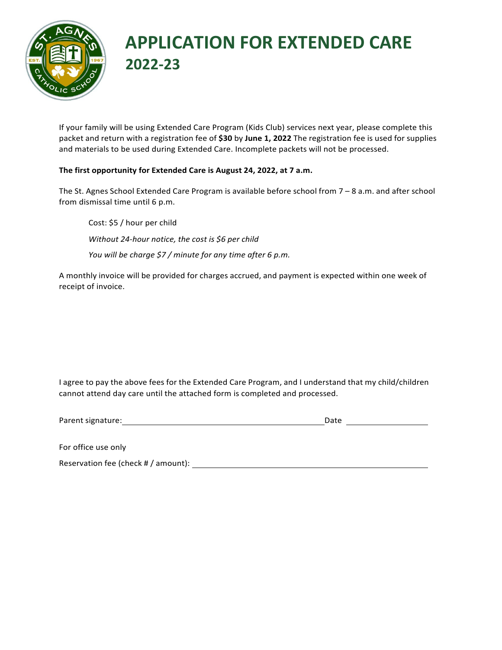

## **APPLICATION FOR EXTENDED CARE 2022-23**

If your family will be using Extended Care Program (Kids Club) services next year, please complete this packet and return with a registration fee of \$30 by June 1, 2022 The registration fee is used for supplies and materials to be used during Extended Care. Incomplete packets will not be processed.

## **The first opportunity for Extended Care is August 24, 2022, at 7 a.m.**

The St. Agnes School Extended Care Program is available before school from 7 – 8 a.m. and after school from dismissal time until 6 p.m.

Cost: \$5 / hour per child *Without 24-hour notice, the cost is \$6 per child You will be charge \$7 / minute for any time after 6 p.m.*

A monthly invoice will be provided for charges accrued, and payment is expected within one week of receipt of invoice.

I agree to pay the above fees for the Extended Care Program, and I understand that my child/children cannot attend day care until the attached form is completed and processed.

Parent signature: Date and the parent signature:

For office use only

Reservation fee (check # / amount): Neservation fee (check # / amount):